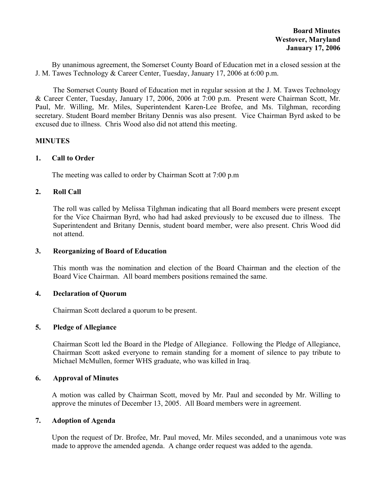By unanimous agreement, the Somerset County Board of Education met in a closed session at the J. M. Tawes Technology & Career Center, Tuesday, January 17, 2006 at 6:00 p.m.

The Somerset County Board of Education met in regular session at the J. M. Tawes Technology & Career Center, Tuesday, January 17, 2006, 2006 at 7:00 p.m. Present were Chairman Scott, Mr. Paul, Mr. Willing, Mr. Miles, Superintendent Karen-Lee Brofee, and Ms. Tilghman, recording secretary. Student Board member Britany Dennis was also present. Vice Chairman Byrd asked to be excused due to illness. Chris Wood also did not attend this meeting.

### **MINUTES**

## **1. Call to Order**

The meeting was called to order by Chairman Scott at 7:00 p.m

## **2. Roll Call**

The roll was called by Melissa Tilghman indicating that all Board members were present except for the Vice Chairman Byrd, who had had asked previously to be excused due to illness. The Superintendent and Britany Dennis, student board member, were also present. Chris Wood did not attend.

### **3. Reorganizing of Board of Education**

This month was the nomination and election of the Board Chairman and the election of the Board Vice Chairman. All board members positions remained the same.

### **4. Declaration of Quorum**

Chairman Scott declared a quorum to be present.

### **5. Pledge of Allegiance**

Chairman Scott led the Board in the Pledge of Allegiance. Following the Pledge of Allegiance, Chairman Scott asked everyone to remain standing for a moment of silence to pay tribute to Michael McMullen, former WHS graduate, who was killed in Iraq.

## **6. Approval of Minutes**

 A motion was called by Chairman Scott, moved by Mr. Paul and seconded by Mr. Willing to approve the minutes of December 13, 2005. All Board members were in agreement.

## **7. Adoption of Agenda**

Upon the request of Dr. Brofee, Mr. Paul moved, Mr. Miles seconded, and a unanimous vote was made to approve the amended agenda. A change order request was added to the agenda.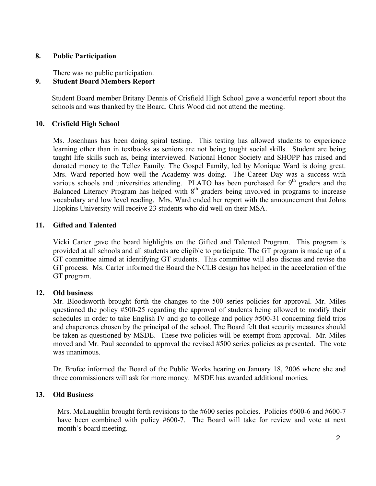### **8. Public Participation**

There was no public participation.

# **9. Student Board Members Report**

 Student Board member Britany Dennis of Crisfield High School gave a wonderful report about the schools and was thanked by the Board. Chris Wood did not attend the meeting.

## **10. Crisfield High School**

Ms. Josenhans has been doing spiral testing. This testing has allowed students to experience learning other than in textbooks as seniors are not being taught social skills. Student are being taught life skills such as, being interviewed. National Honor Society and SHOPP has raised and donated money to the Tellez Family. The Gospel Family, led by Monique Ward is doing great. Mrs. Ward reported how well the Academy was doing. The Career Day was a success with various schools and universities attending. PLATO has been purchased for  $9<sup>th</sup>$  graders and the Balanced Literacy Program has helped with  $8<sup>th</sup>$  graders being involved in programs to increase vocabulary and low level reading. Mrs. Ward ended her report with the announcement that Johns Hopkins University will receive 23 students who did well on their MSA.

## **11. Gifted and Talented**

Vicki Carter gave the board highlights on the Gifted and Talented Program. This program is provided at all schools and all students are eligible to participate. The GT program is made up of a GT committee aimed at identifying GT students. This committee will also discuss and revise the GT process. Ms. Carter informed the Board the NCLB design has helped in the acceleration of the GT program.

## **12. Old business**

Mr. Bloodsworth brought forth the changes to the 500 series policies for approval. Mr. Miles questioned the policy #500-25 regarding the approval of students being allowed to modify their schedules in order to take English IV and go to college and policy #500-31 concerning field trips and chaperones chosen by the principal of the school. The Board felt that security measures should be taken as questioned by MSDE. These two policies will be exempt from approval. Mr. Miles moved and Mr. Paul seconded to approval the revised #500 series policies as presented. The vote was unanimous.

Dr. Brofee informed the Board of the Public Works hearing on January 18, 2006 where she and three commissioners will ask for more money. MSDE has awarded additional monies.

## **13. Old Business**

Mrs. McLaughlin brought forth revisions to the #600 series policies. Policies #600-6 and #600-7 have been combined with policy #600-7. The Board will take for review and vote at next month's board meeting.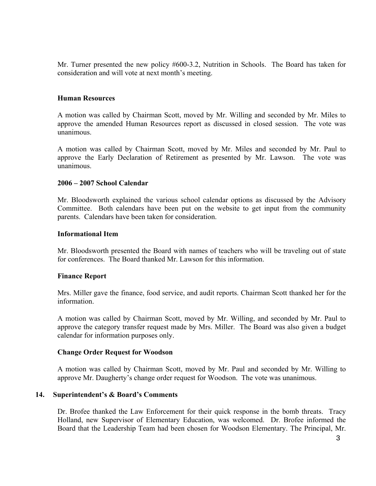Mr. Turner presented the new policy #600-3.2, Nutrition in Schools. The Board has taken for consideration and will vote at next month's meeting.

### **Human Resources**

A motion was called by Chairman Scott, moved by Mr. Willing and seconded by Mr. Miles to approve the amended Human Resources report as discussed in closed session. The vote was unanimous.

A motion was called by Chairman Scott, moved by Mr. Miles and seconded by Mr. Paul to approve the Early Declaration of Retirement as presented by Mr. Lawson. The vote was unanimous.

### **2006 – 2007 School Calendar**

Mr. Bloodsworth explained the various school calendar options as discussed by the Advisory Committee. Both calendars have been put on the website to get input from the community parents. Calendars have been taken for consideration.

#### **Informational Item**

Mr. Bloodsworth presented the Board with names of teachers who will be traveling out of state for conferences. The Board thanked Mr. Lawson for this information.

### **Finance Report**

Mrs. Miller gave the finance, food service, and audit reports. Chairman Scott thanked her for the information.

A motion was called by Chairman Scott, moved by Mr. Willing, and seconded by Mr. Paul to approve the category transfer request made by Mrs. Miller. The Board was also given a budget calendar for information purposes only.

### **Change Order Request for Woodson**

A motion was called by Chairman Scott, moved by Mr. Paul and seconded by Mr. Willing to approve Mr. Daugherty's change order request for Woodson. The vote was unanimous.

### **14. Superintendent's & Board's Comments**

Dr. Brofee thanked the Law Enforcement for their quick response in the bomb threats. Tracy Holland, new Supervisor of Elementary Education, was welcomed. Dr. Brofee informed the Board that the Leadership Team had been chosen for Woodson Elementary. The Principal, Mr.